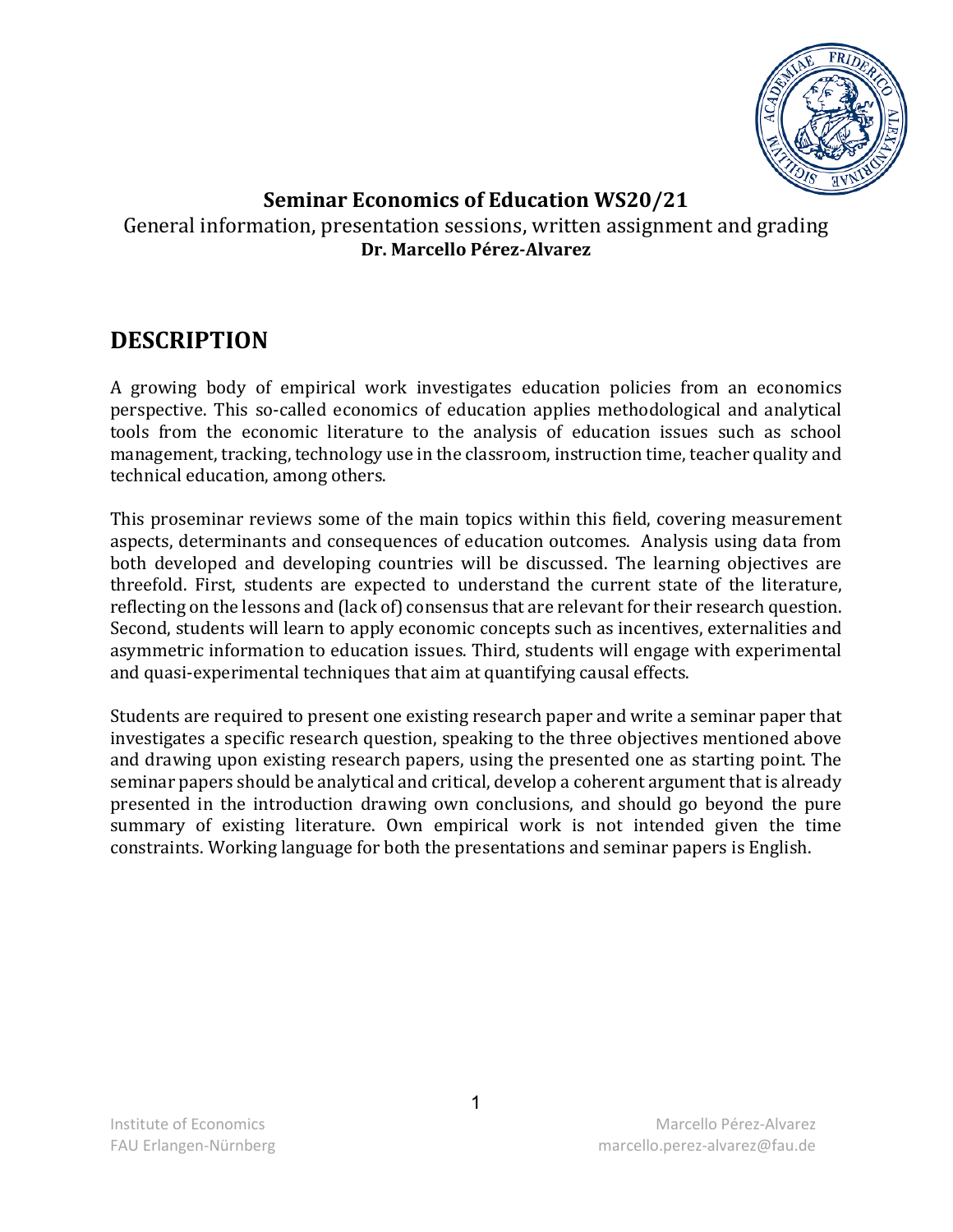

# **Seminar Economics of Education WS20/21** General information, presentation sessions, written assignment and grading **Dr. Marcello Pérez-Alvarez**

# **DESCRIPTION**

A growing body of empirical work investigates education policies from an economics perspective. This so-called economics of education applies methodological and analytical tools from the economic literature to the analysis of education issues such as school management, tracking, technology use in the classroom, instruction time, teacher quality and technical education, among others.

This proseminar reviews some of the main topics within this field, covering measurement aspects, determinants and consequences of education outcomes. Analysis using data from both developed and developing countries will be discussed. The learning objectives are threefold. First, students are expected to understand the current state of the literature, reflecting on the lessons and (lack of) consensus that are relevant for their research question. Second, students will learn to apply economic concepts such as incentives, externalities and asymmetric information to education issues. Third, students will engage with experimental and quasi-experimental techniques that aim at quantifying causal effects.

Students are required to present one existing research paper and write a seminar paper that investigates a specific research question, speaking to the three objectives mentioned above and drawing upon existing research papers, using the presented one as starting point. The seminar papers should be analytical and critical, develop a coherent argument that is already presented in the introduction drawing own conclusions, and should go beyond the pure summary of existing literature. Own empirical work is not intended given the time constraints. Working language for both the presentations and seminar papers is English.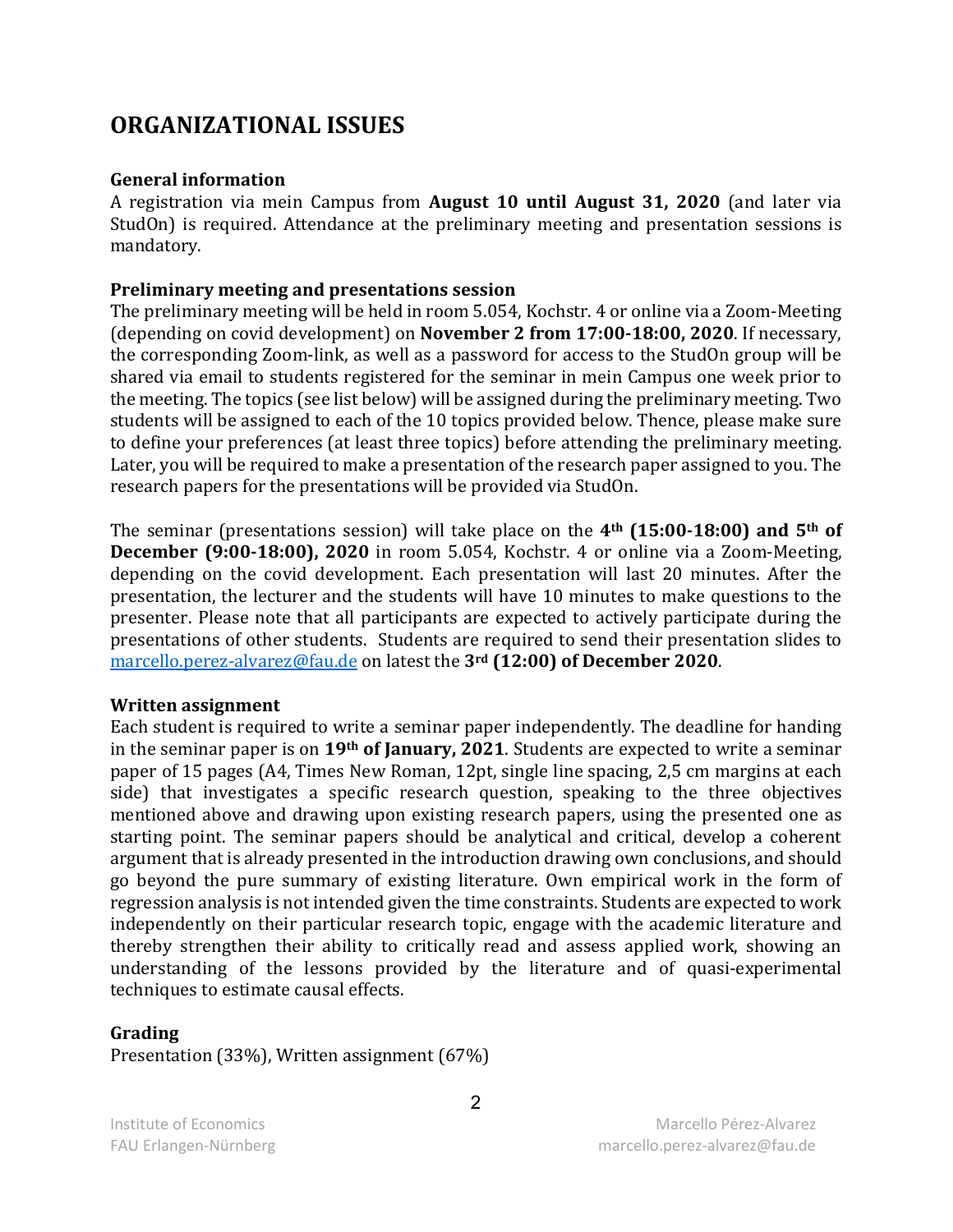# **ORGANIZATIONAL ISSUES**

#### **General information**

A registration via mein Campus from **August 10 until August 31, 2020** (and later via StudOn) is required. Attendance at the preliminary meeting and presentation sessions is mandatory.

#### **Preliminary meeting and presentations session**

The preliminary meeting will be held in room 5.054, Kochstr. 4 or online via a Zoom-Meeting (depending on covid development) on **November 2 from 17:00-18:00, 2020**. If necessary, the corresponding Zoom-link, as well as a password for access to the StudOn group will be shared via email to students registered for the seminar in mein Campus one week prior to the meeting. The topics (see list below) will be assigned during the preliminary meeting. Two students will be assigned to each of the 10 topics provided below. Thence, please make sure to define your preferences (at least three topics) before attending the preliminary meeting. Later, you will be required to make a presentation of the research paper assigned to you. The research papers for the presentations will be provided via StudOn.

The seminar (presentations session) will take place on the **4th (15:00-18:00) and 5th of December (9:00-18:00), 2020** in room 5.054, Kochstr. 4 or online via a Zoom-Meeting, depending on the covid development. Each presentation will last 20 minutes. After the presentation, the lecturer and the students will have 10 minutes to make questions to the presenter. Please note that all participants are expected to actively participate during the presentations of other students. Students are required to send their presentation slides to [marcello.perez-alvarez@fau.de](mailto:marcello.perez-alvarez@fau.de) on latest the **3rd (12:00) of December 2020**.

#### **Written assignment**

Each student is required to write a seminar paper independently. The deadline for handing in the seminar paper is on **19th of January, 2021**. Students are expected to write a seminar paper of 15 pages (A4, Times New Roman, 12pt, single line spacing, 2,5 cm margins at each side) that investigates a specific research question, speaking to the three objectives mentioned above and drawing upon existing research papers, using the presented one as starting point. The seminar papers should be analytical and critical, develop a coherent argument that is already presented in the introduction drawing own conclusions, and should go beyond the pure summary of existing literature. Own empirical work in the form of regression analysis is not intended given the time constraints. Students are expected to work independently on their particular research topic, engage with the academic literature and thereby strengthen their ability to critically read and assess applied work, showing an understanding of the lessons provided by the literature and of quasi-experimental techniques to estimate causal effects.

#### **Grading**

Presentation (33%), Written assignment (67%)